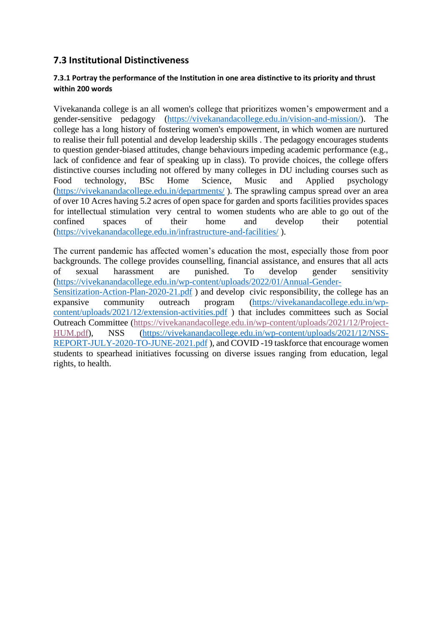## **7.3 Institutional Distinctiveness**

## **7.3.1 Portray the performance of the Institution in one area distinctive to its priority and thrust within 200 words**

Vivekananda college is an all women's college that prioritizes women's empowerment and a gender-sensitive pedagogy [\(https://vivekanandacollege.edu.in/vision-and-mission/\)](https://vivekanandacollege.edu.in/vision-and-mission/). The college has a long history of fostering women's empowerment, in which women are nurtured to realise their full potential and develop leadership skills . The pedagogy encourages students to question gender-biased attitudes, change behaviours impeding academic performance (e.g., lack of confidence and fear of speaking up in class). To provide choices, the college offers distinctive courses including not offered by many colleges in DU including courses such as Food technology, BSc Home Science, Music and Applied psychology [\(https://vivekanandacollege.edu.in/departments/](https://vivekanandacollege.edu.in/departments/) ). The sprawling campus spread over an area of over 10 Acres having 5.2 acres of open space for garden and sports facilities provides spaces for intellectual stimulation very central to women students who are able to go out of the confined spaces of their home and develop their potential [\(https://vivekanandacollege.edu.in/infrastructure-and-facilities/](https://vivekanandacollege.edu.in/infrastructure-and-facilities/) ).

The current pandemic has affected women's education the most, especially those from poor backgrounds. The college provides counselling, financial assistance, and ensures that all acts of sexual harassment are punished. To develop gender sensitivity [\(https://vivekanandacollege.edu.in/wp-content/uploads/2022/01/Annual-Gender-](https://vivekanandacollege.edu.in/wp-content/uploads/2022/01/Annual-Gender-Sensitization-Action-Plan-2020-21.pdf)[Sensitization-Action-Plan-2020-21.pdf](https://vivekanandacollege.edu.in/wp-content/uploads/2022/01/Annual-Gender-Sensitization-Action-Plan-2020-21.pdf)) and develop civic responsibility, the college has an expansive community outreach program [\(https://vivekanandacollege.edu.in/wp](https://vivekanandacollege.edu.in/wp-content/uploads/2021/12/extension-activities.pdf)[content/uploads/2021/12/extension-activities.pdf](https://vivekanandacollege.edu.in/wp-content/uploads/2021/12/extension-activities.pdf) ) that includes committees such as Social Outreach Committee [\(https://vivekanandacollege.edu.in/wp-content/uploads/2021/12/Project-](https://vivekanandacollege.edu.in/wp-content/uploads/2021/12/Project-HUM.pdf)[HUM.pdf\)](https://vivekanandacollege.edu.in/wp-content/uploads/2021/12/Project-HUM.pdf), NSS [\(https://vivekanandacollege.edu.in/wp-content/uploads/2021/12/NSS-](https://vivekanandacollege.edu.in/wp-content/uploads/2021/12/NSS-REPORT-JULY-2020-TO-JUNE-2021.pdf)[REPORT-JULY-2020-TO-JUNE-2021.pdf](https://vivekanandacollege.edu.in/wp-content/uploads/2021/12/NSS-REPORT-JULY-2020-TO-JUNE-2021.pdf) ), and COVID -19 taskforce that encourage women students to spearhead initiatives focussing on diverse issues ranging from education, legal rights, to health.